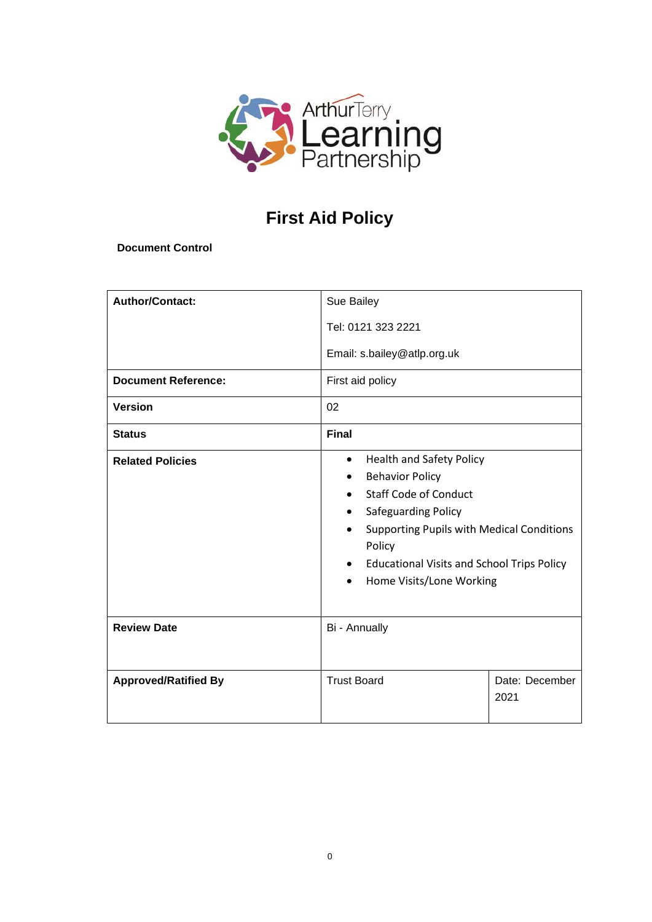

# **First Aid Policy**

**Document Control**

| <b>Author/Contact:</b><br><b>Document Reference:</b> | Sue Bailey<br>Tel: 0121 323 2221<br>Email: s.bailey@atlp.org.uk<br>First aid policy                                                                                                                                                                                                                    |                        |  |
|------------------------------------------------------|--------------------------------------------------------------------------------------------------------------------------------------------------------------------------------------------------------------------------------------------------------------------------------------------------------|------------------------|--|
| <b>Version</b>                                       | 02                                                                                                                                                                                                                                                                                                     |                        |  |
| <b>Status</b>                                        | <b>Final</b>                                                                                                                                                                                                                                                                                           |                        |  |
| <b>Related Policies</b>                              | <b>Health and Safety Policy</b><br>$\bullet$<br><b>Behavior Policy</b><br><b>Staff Code of Conduct</b><br>Safeguarding Policy<br><b>Supporting Pupils with Medical Conditions</b><br>Policy<br><b>Educational Visits and School Trips Policy</b><br>$\bullet$<br>Home Visits/Lone Working<br>$\bullet$ |                        |  |
| <b>Review Date</b>                                   | Bi - Annually                                                                                                                                                                                                                                                                                          |                        |  |
| <b>Approved/Ratified By</b>                          | <b>Trust Board</b>                                                                                                                                                                                                                                                                                     | Date: December<br>2021 |  |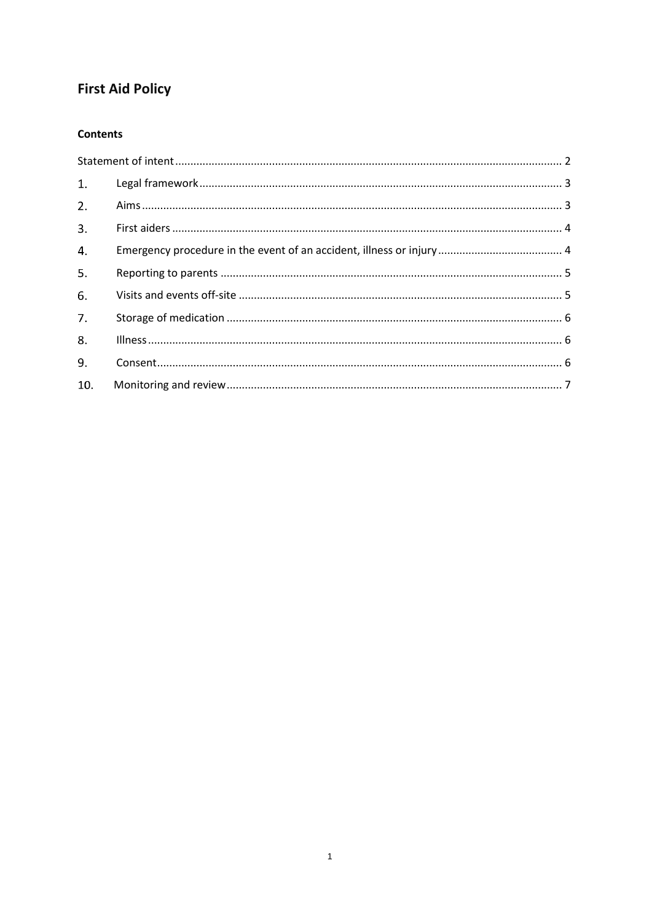## **First Aid Policy**

## **Contents**

| 1.  |  |
|-----|--|
| 2.  |  |
| 3.  |  |
| 4.  |  |
| 5.  |  |
| 6.  |  |
| 7.  |  |
| 8.  |  |
| 9.  |  |
| 10. |  |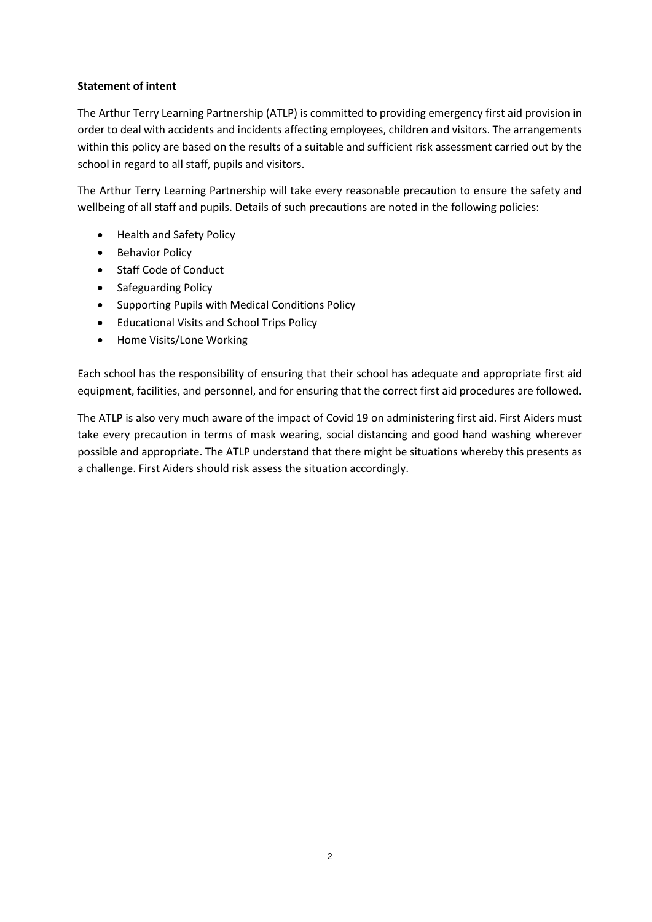### <span id="page-2-0"></span>**Statement of intent**

The Arthur Terry Learning Partnership (ATLP) is committed to providing emergency first aid provision in order to deal with accidents and incidents affecting employees, children and visitors. The arrangements within this policy are based on the results of a suitable and sufficient risk assessment carried out by the school in regard to all staff, pupils and visitors.

The Arthur Terry Learning Partnership will take every reasonable precaution to ensure the safety and wellbeing of all staff and pupils. Details of such precautions are noted in the following policies:

- Health and Safety Policy
- Behavior Policy
- Staff Code of Conduct
- Safeguarding Policy
- Supporting Pupils with Medical Conditions Policy
- Educational Visits and School Trips Policy
- Home Visits/Lone Working

Each school has the responsibility of ensuring that their school has adequate and appropriate first aid equipment, facilities, and personnel, and for ensuring that the correct first aid procedures are followed.

The ATLP is also very much aware of the impact of Covid 19 on administering first aid. First Aiders must take every precaution in terms of mask wearing, social distancing and good hand washing wherever possible and appropriate. The ATLP understand that there might be situations whereby this presents as a challenge. First Aiders should risk assess the situation accordingly.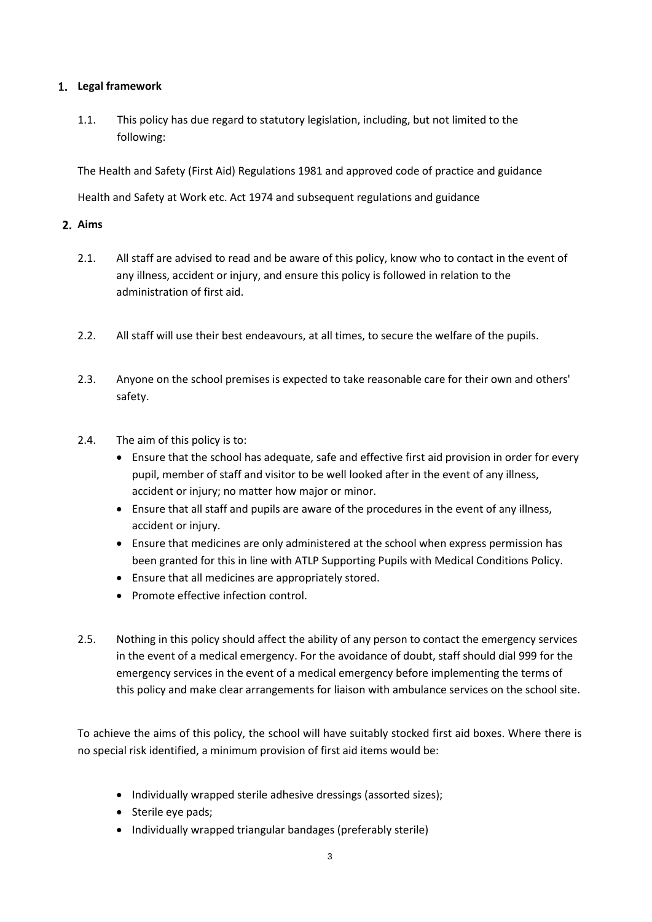## <span id="page-3-0"></span>**Legal framework**

1.1. This policy has due regard to statutory legislation, including, but not limited to the following:

The Health and Safety (First Aid) Regulations 1981 and approved code of practice and guidance

Health and Safety at Work etc. Act 1974 and subsequent regulations and guidance

## <span id="page-3-1"></span>**Aims**

- 2.1. All staff are advised to read and be aware of this policy, know who to contact in the event of any illness, accident or injury, and ensure this policy is followed in relation to the administration of first aid.
- 2.2. All staff will use their best endeavours, at all times, to secure the welfare of the pupils.
- 2.3. Anyone on the school premises is expected to take reasonable care for their own and others' safety.
- 2.4. The aim of this policy is to:
	- Ensure that the school has adequate, safe and effective first aid provision in order for every pupil, member of staff and visitor to be well looked after in the event of any illness, accident or injury; no matter how major or minor.
	- Ensure that all staff and pupils are aware of the procedures in the event of any illness, accident or injury.
	- Ensure that medicines are only administered at the school when express permission has been granted for this in line with ATLP Supporting Pupils with Medical Conditions Policy.
	- Ensure that all medicines are appropriately stored.
	- Promote effective infection control.
- 2.5. Nothing in this policy should affect the ability of any person to contact the emergency services in the event of a medical emergency. For the avoidance of doubt, staff should dial 999 for the emergency services in the event of a medical emergency before implementing the terms of this policy and make clear arrangements for liaison with ambulance services on the school site.

To achieve the aims of this policy, the school will have suitably stocked first aid boxes. Where there is no special risk identified, a minimum provision of first aid items would be:

- Individually wrapped sterile adhesive dressings (assorted sizes);
- Sterile eye pads;
- Individually wrapped triangular bandages (preferably sterile)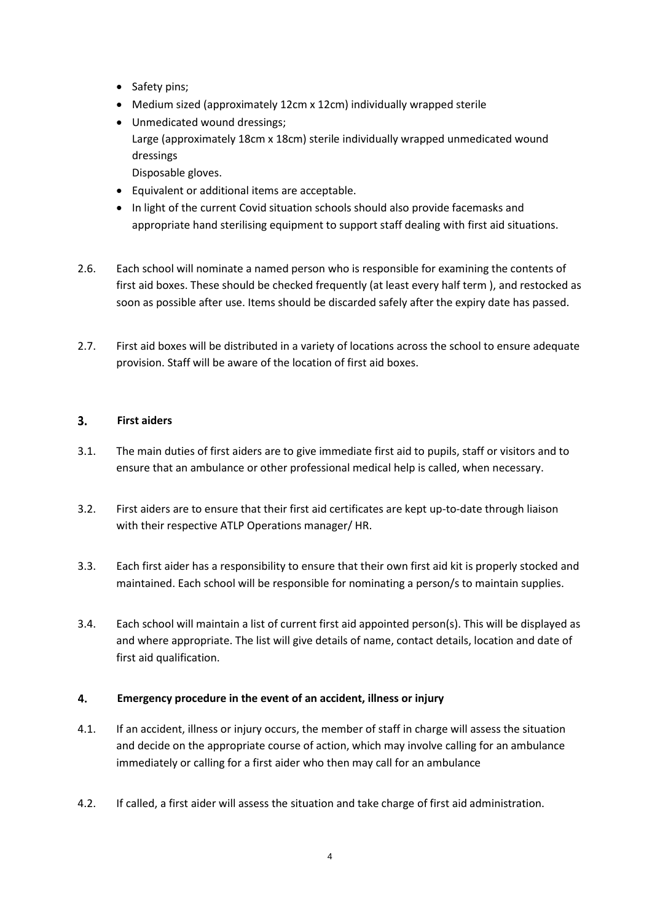- Safety pins;
- Medium sized (approximately 12cm x 12cm) individually wrapped sterile
- Unmedicated wound dressings; Large (approximately 18cm x 18cm) sterile individually wrapped unmedicated wound dressings
	- Disposable gloves.
- Equivalent or additional items are acceptable.
- In light of the current Covid situation schools should also provide facemasks and appropriate hand sterilising equipment to support staff dealing with first aid situations.
- 2.6. Each school will nominate a named person who is responsible for examining the contents of first aid boxes. These should be checked frequently (at least every half term ), and restocked as soon as possible after use. Items should be discarded safely after the expiry date has passed.
- 2.7. First aid boxes will be distributed in a variety of locations across the school to ensure adequate provision. Staff will be aware of the location of first aid boxes.

#### <span id="page-4-0"></span> $3.$ **First aiders**

- 3.1. The main duties of first aiders are to give immediate first aid to pupils, staff or visitors and to ensure that an ambulance or other professional medical help is called, when necessary.
- 3.2. First aiders are to ensure that their first aid certificates are kept up-to-date through liaison with their respective ATLP Operations manager/ HR.
- 3.3. Each first aider has a responsibility to ensure that their own first aid kit is properly stocked and maintained. Each school will be responsible for nominating a person/s to maintain supplies.
- 3.4. Each school will maintain a list of current first aid appointed person(s). This will be displayed as and where appropriate. The list will give details of name, contact details, location and date of first aid qualification.

#### <span id="page-4-1"></span>4. **Emergency procedure in the event of an accident, illness or injury**

- 4.1. If an accident, illness or injury occurs, the member of staff in charge will assess the situation and decide on the appropriate course of action, which may involve calling for an ambulance immediately or calling for a first aider who then may call for an ambulance
- 4.2. If called, a first aider will assess the situation and take charge of first aid administration.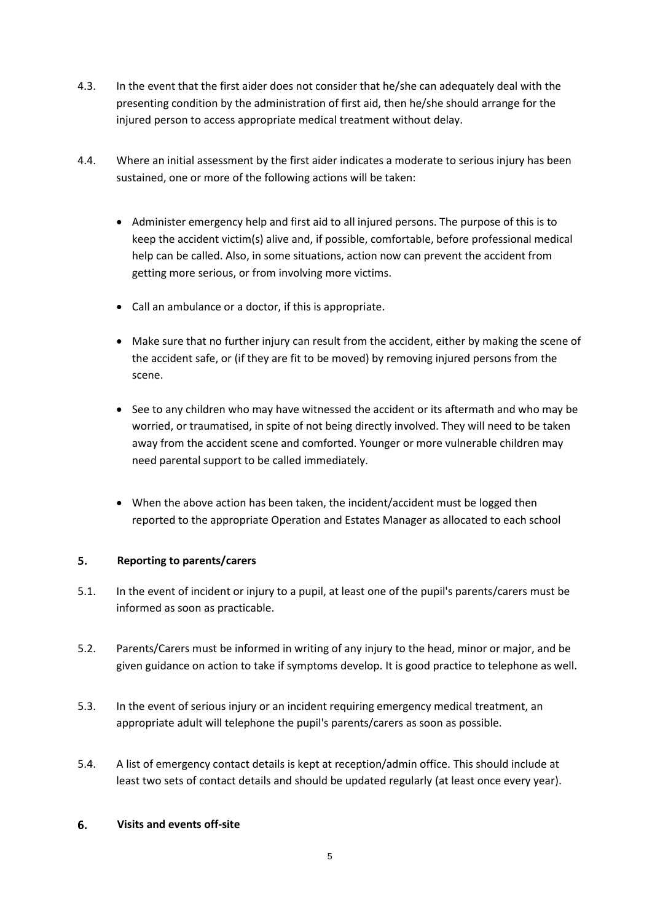- 4.3. In the event that the first aider does not consider that he/she can adequately deal with the presenting condition by the administration of first aid, then he/she should arrange for the injured person to access appropriate medical treatment without delay.
- 4.4. Where an initial assessment by the first aider indicates a moderate to serious injury has been sustained, one or more of the following actions will be taken:
	- Administer emergency help and first aid to all injured persons. The purpose of this is to keep the accident victim(s) alive and, if possible, comfortable, before professional medical help can be called. Also, in some situations, action now can prevent the accident from getting more serious, or from involving more victims.
	- Call an ambulance or a doctor, if this is appropriate.
	- Make sure that no further injury can result from the accident, either by making the scene of the accident safe, or (if they are fit to be moved) by removing injured persons from the scene.
	- See to any children who may have witnessed the accident or its aftermath and who may be worried, or traumatised, in spite of not being directly involved. They will need to be taken away from the accident scene and comforted. Younger or more vulnerable children may need parental support to be called immediately.
	- When the above action has been taken, the incident/accident must be logged then reported to the appropriate Operation and Estates Manager as allocated to each school

#### <span id="page-5-0"></span> $5.$ **Reporting to parents/carers**

- 5.1. In the event of incident or injury to a pupil, at least one of the pupil's parents/carers must be informed as soon as practicable.
- 5.2. Parents/Carers must be informed in writing of any injury to the head, minor or major, and be given guidance on action to take if symptoms develop. It is good practice to telephone as well.
- 5.3. In the event of serious injury or an incident requiring emergency medical treatment, an appropriate adult will telephone the pupil's parents/carers as soon as possible.
- 5.4. A list of emergency contact details is kept at reception/admin office. This should include at least two sets of contact details and should be updated regularly (at least once every year).

#### <span id="page-5-1"></span>6. **Visits and events off-site**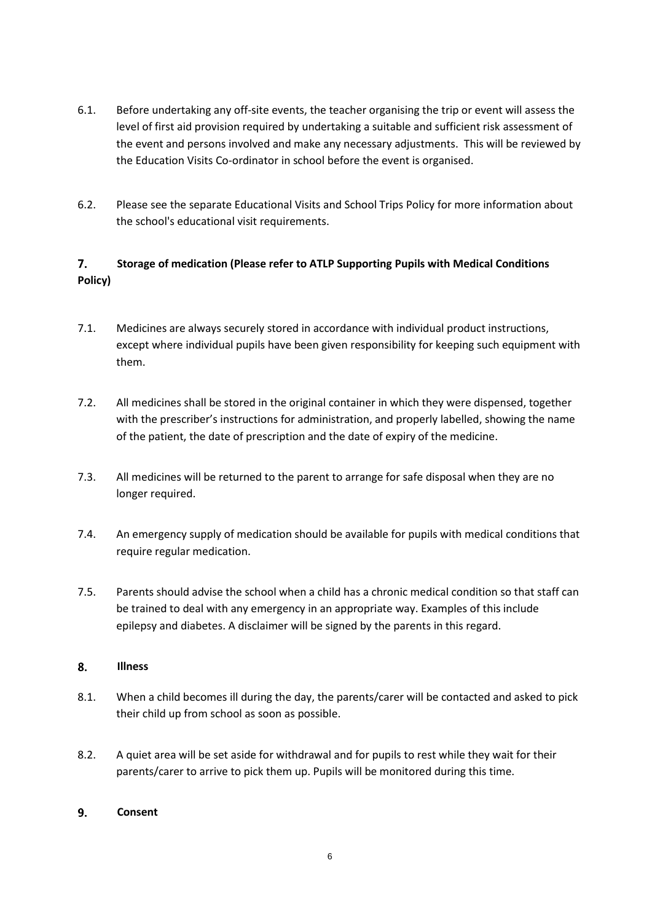- 6.1. Before undertaking any off-site events, the teacher organising the trip or event will assess the level of first aid provision required by undertaking a suitable and sufficient risk assessment of the event and persons involved and make any necessary adjustments. This will be reviewed by the Education Visits Co-ordinator in school before the event is organised.
- 6.2. Please see the separate Educational Visits and School Trips Policy for more information about the school's educational visit requirements.

### <span id="page-6-0"></span> $7.$ **Storage of medication (Please refer to ATLP Supporting Pupils with Medical Conditions Policy)**

- 7.1. Medicines are always securely stored in accordance with individual product instructions, except where individual pupils have been given responsibility for keeping such equipment with them.
- 7.2. All medicines shall be stored in the original container in which they were dispensed, together with the prescriber's instructions for administration, and properly labelled, showing the name of the patient, the date of prescription and the date of expiry of the medicine.
- 7.3. All medicines will be returned to the parent to arrange for safe disposal when they are no longer required.
- 7.4. An emergency supply of medication should be available for pupils with medical conditions that require regular medication.
- 7.5. Parents should advise the school when a child has a chronic medical condition so that staff can be trained to deal with any emergency in an appropriate way. Examples of this include epilepsy and diabetes. A disclaimer will be signed by the parents in this regard.

#### <span id="page-6-1"></span>8. **Illness**

- 8.1. When a child becomes ill during the day, the parents/carer will be contacted and asked to pick their child up from school as soon as possible.
- 8.2. A quiet area will be set aside for withdrawal and for pupils to rest while they wait for their parents/carer to arrive to pick them up. Pupils will be monitored during this time.

#### <span id="page-6-2"></span> $9<sub>1</sub>$ **Consent**